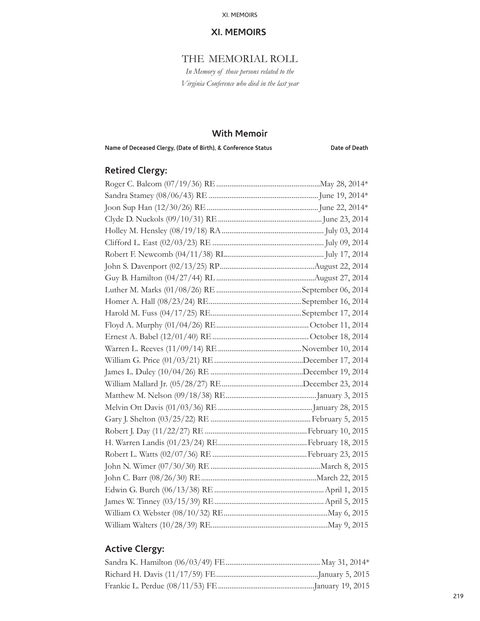## THE MEMORIAL ROLL

*In Memory of those persons related to the Virginia Conference who died in the last year*

## **With Memoir**

Name of Deceased Clergy, (Date of Birth), & Conference Status **Date of Death** 

# **Retired Clergy:**

## **Active Clergy:**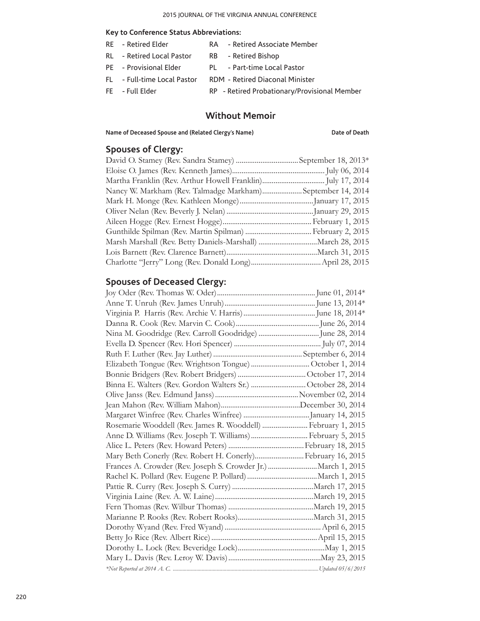#### **Key to Conference Status Abbreviations:**

| - Retired Elder<br>- Retired Associate Member<br><b>RE</b> |  |
|------------------------------------------------------------|--|
|------------------------------------------------------------|--|

- RL Retired Local Pastor RB Retired Bishop
- PE Provisional Elder PL Part-time Local Pastor
- FL Full-time Local Pastor RDM Retired Diaconal Minister
- FE Full Elder RP Retired Probationary/Provisional Member

## **Without Memoir**

**Name of Deceased Spouse and (Related Clergy's Name) Date of Death**

## **Spouses of Clergy:**

| Nancy W. Markham (Rev. Talmadge Markham)September 14, 2014 |  |
|------------------------------------------------------------|--|
|                                                            |  |
|                                                            |  |
|                                                            |  |
|                                                            |  |
|                                                            |  |
|                                                            |  |
|                                                            |  |

## **Spouses of Deceased Clergy:**

| Binna E. Walters (Rev. Gordon Walters Sr.) October 28, 2014   |  |
|---------------------------------------------------------------|--|
|                                                               |  |
|                                                               |  |
|                                                               |  |
| Rosemarie Wooddell (Rev. James R. Wooddell)  February 1, 2015 |  |
| Anne D. Williams (Rev. Joseph T. Williams) February 5, 2015   |  |
|                                                               |  |
| Mary Beth Conerly (Rev. Robert H. Conerly) February 16, 2015  |  |
| Frances A. Crowder (Rev. Joseph S. Crowder Jr.) March 1, 2015 |  |
|                                                               |  |
|                                                               |  |
|                                                               |  |
|                                                               |  |
|                                                               |  |
|                                                               |  |
|                                                               |  |
|                                                               |  |
|                                                               |  |
|                                                               |  |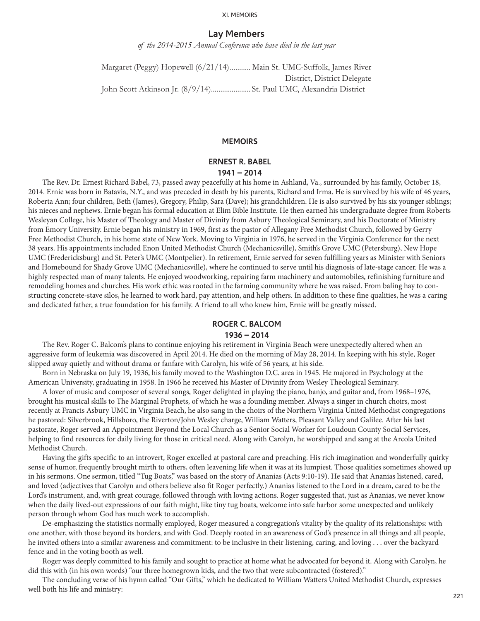### **Lay Members**

*of the 2014-2015 Annual Conference who have died in the last year*

Margaret (Peggy) Hopewell (6/21/14)........... Main St. UMC-Suffolk, James River District, District Delegate John Scott Atkinson Jr. (8/9/14)..................... St. Paul UMC, Alexandria District

#### **MEMOIRS**

## **ERNEST R. BABEL 1941 – 2014**

The Rev. Dr. Ernest Richard Babel, 73, passed away peacefully at his home in Ashland, Va., surrounded by his family, October 18, 2014. Ernie was born in Batavia, N.Y., and was preceded in death by his parents, Richard and Irma. He is survived by his wife of 46 years, Roberta Ann; four children, Beth (James), Gregory, Philip, Sara (Dave); his grandchildren. He is also survived by his six younger siblings; his nieces and nephews. Ernie began his formal education at Elim Bible Institute. He then earned his undergraduate degree from Roberts Wesleyan College, his Master of Theology and Master of Divinity from Asbury Theological Seminary, and his Doctorate of Ministry from Emory University. Ernie began his ministry in 1969, first as the pastor of Allegany Free Methodist Church, followed by Gerry Free Methodist Church, in his home state of New York. Moving to Virginia in 1976, he served in the Virginia Conference for the next 38 years. His appointments included Enon United Methodist Church (Mechanicsville), Smith's Grove UMC (Petersburg), New Hope UMC (Fredericksburg) and St. Peter's UMC (Montpelier). In retirement, Ernie served for seven fulfilling years as Minister with Seniors and Homebound for Shady Grove UMC (Mechanicsville), where he continued to serve until his diagnosis of late-stage cancer. He was a highly respected man of many talents. He enjoyed woodworking, repairing farm machinery and automobiles, refinishing furniture and remodeling homes and churches. His work ethic was rooted in the farming community where he was raised. From baling hay to constructing concrete-stave silos, he learned to work hard, pay attention, and help others. In addition to these fine qualities, he was a caring and dedicated father, a true foundation for his family. A friend to all who knew him, Ernie will be greatly missed.

## **ROGER C. BALCOM**

#### **1936 – 2014**

The Rev. Roger C. Balcom's plans to continue enjoying his retirement in Virginia Beach were unexpectedly altered when an aggressive form of leukemia was discovered in April 2014. He died on the morning of May 28, 2014. In keeping with his style, Roger slipped away quietly and without drama or fanfare with Carolyn, his wife of 56 years, at his side.

Born in Nebraska on July 19, 1936, his family moved to the Washington D.C. area in 1945. He majored in Psychology at the American University, graduating in 1958. In 1966 he received his Master of Divinity from Wesley Theological Seminary.

A lover of music and composer of several songs, Roger delighted in playing the piano, banjo, and guitar and, from 1968–1976, brought his musical skills to The Marginal Prophets, of which he was a founding member. Always a singer in church choirs, most recently at Francis Asbury UMC in Virginia Beach, he also sang in the choirs of the Northern Virginia United Methodist congregations he pastored: Silverbrook, Hillsboro, the Riverton/John Wesley charge, William Watters, Pleasant Valley and Galilee. After his last pastorate, Roger served an Appointment Beyond the Local Church as a Senior Social Worker for Loudoun County Social Services, helping to find resources for daily living for those in critical need. Along with Carolyn, he worshipped and sang at the Arcola United Methodist Church.

Having the gifts specific to an introvert, Roger excelled at pastoral care and preaching. His rich imagination and wonderfully quirky sense of humor, frequently brought mirth to others, often leavening life when it was at its lumpiest. Those qualities sometimes showed up in his sermons. One sermon, titled "Tug Boats," was based on the story of Ananias (Acts 9:10-19). He said that Ananias listened, cared, and loved (adjectives that Carolyn and others believe also fit Roger perfectly.) Ananias listened to the Lord in a dream, cared to be the Lord's instrument, and, with great courage, followed through with loving actions. Roger suggested that, just as Ananias, we never know when the daily lived-out expressions of our faith might, like tiny tug boats, welcome into safe harbor some unexpected and unlikely person through whom God has much work to accomplish.

De-emphasizing the statistics normally employed, Roger measured a congregation's vitality by the quality of its relationships: with one another, with those beyond its borders, and with God. Deeply rooted in an awareness of God's presence in all things and all people, he invited others into a similar awareness and commitment: to be inclusive in their listening, caring, and loving . . . over the backyard fence and in the voting booth as well.

Roger was deeply committed to his family and sought to practice at home what he advocated for beyond it. Along with Carolyn, he did this with (in his own words) "our three homegrown kids, and the two that were subcontracted (fostered)."

The concluding verse of his hymn called "Our Gifts," which he dedicated to William Watters United Methodist Church, expresses well both his life and ministry: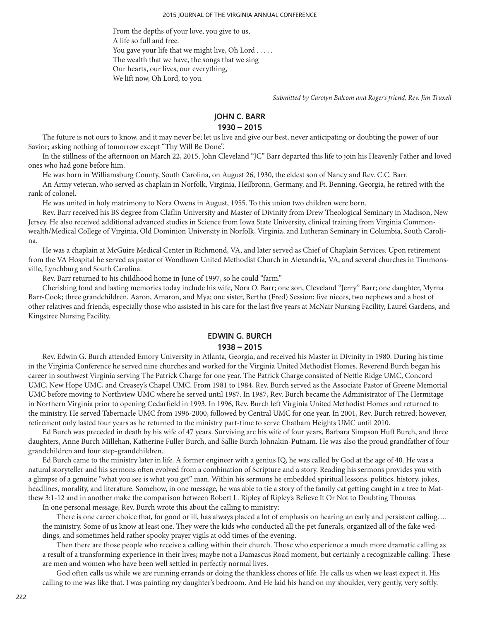From the depths of your love, you give to us, A life so full and free. You gave your life that we might live, Oh Lord . . . . . The wealth that we have, the songs that we sing Our hearts, our lives, our everything, We lift now, Oh Lord, to you.

*Submitted by Carolyn Balcom and Roger's friend, Rev. Jim Truxell*

## **JOHN C. BARR**

### **1930 – 2015**

The future is not ours to know, and it may never be; let us live and give our best, never anticipating or doubting the power of our Savior; asking nothing of tomorrow except "Thy Will Be Done".

In the stillness of the afternoon on March 22, 2015, John Cleveland "JC" Barr departed this life to join his Heavenly Father and loved ones who had gone before him.

He was born in Williamsburg County, South Carolina, on August 26, 1930, the eldest son of Nancy and Rev. C.C. Barr.

An Army veteran, who served as chaplain in Norfolk, Virginia, Heilbronn, Germany, and Ft. Benning, Georgia, he retired with the rank of colonel.

He was united in holy matrimony to Nora Owens in August, 1955. To this union two children were born.

Rev. Barr received his BS degree from Claflin University and Master of Divinity from Drew Theological Seminary in Madison, New Jersey. He also received additional advanced studies in Science from Iowa State University, clinical training from Virginia Commonwealth/Medical College of Virginia, Old Dominion University in Norfolk, Virginia, and Lutheran Seminary in Columbia, South Carolina.

He was a chaplain at McGuire Medical Center in Richmond, VA, and later served as Chief of Chaplain Services. Upon retirement from the VA Hospital he served as pastor of Woodlawn United Methodist Church in Alexandria, VA, and several churches in Timmonsville, Lynchburg and South Carolina.

Rev. Barr returned to his childhood home in June of 1997, so he could "farm."

Cherishing fond and lasting memories today include his wife, Nora O. Barr; one son, Cleveland "Jerry" Barr; one daughter, Myrna Barr-Cook; three grandchildren, Aaron, Amaron, and Mya; one sister, Bertha (Fred) Session; five nieces, two nephews and a host of other relatives and friends, especially those who assisted in his care for the last five years at McNair Nursing Facility, Laurel Gardens, and Kingstree Nursing Facility.

## **EDWIN G. BURCH 1938 – 2015**

Rev. Edwin G. Burch attended Emory University in Atlanta, Georgia, and received his Master in Divinity in 1980. During his time in the Virginia Conference he served nine churches and worked for the Virginia United Methodist Homes. Reverend Burch began his career in southwest Virginia serving The Patrick Charge for one year. The Patrick Charge consisted of Nettle Ridge UMC, Concord UMC, New Hope UMC, and Creasey's Chapel UMC. From 1981 to 1984, Rev. Burch served as the Associate Pastor of Greene Memorial UMC before moving to Northview UMC where he served until 1987. In 1987, Rev. Burch became the Administrator of The Hermitage in Northern Virginia prior to opening Cedarfield in 1993. In 1996, Rev. Burch left Virginia United Methodist Homes and returned to the ministry. He served Tabernacle UMC from 1996-2000, followed by Central UMC for one year. In 2001, Rev. Burch retired; however, retirement only lasted four years as he returned to the ministry part-time to serve Chatham Heights UMC until 2010.

Ed Burch was preceded in death by his wife of 47 years. Surviving are his wife of four years, Barbara Simpson Huff Burch, and three daughters, Anne Burch Millehan, Katherine Fuller Burch, and Sallie Burch Johnakin-Putnam. He was also the proud grandfather of four grandchildren and four step-grandchildren.

Ed Burch came to the ministry later in life. A former engineer with a genius IQ, he was called by God at the age of 40. He was a natural storyteller and his sermons often evolved from a combination of Scripture and a story. Reading his sermons provides you with a glimpse of a genuine "what you see is what you get" man. Within his sermons he embedded spiritual lessons, politics, history, jokes, headlines, morality, and literature. Somehow, in one message, he was able to tie a story of the family cat getting caught in a tree to Matthew 3:1-12 and in another make the comparison between Robert L. Ripley of Ripley's Believe It Or Not to Doubting Thomas.

In one personal message, Rev. Burch wrote this about the calling to ministry:

There is one career choice that, for good or ill, has always placed a lot of emphasis on hearing an early and persistent calling.... the ministry. Some of us know at least one. They were the kids who conducted all the pet funerals, organized all of the fake weddings, and sometimes held rather spooky prayer vigils at odd times of the evening.

Then there are those people who receive a calling within their church. Those who experience a much more dramatic calling as a result of a transforming experience in their lives; maybe not a Damascus Road moment, but certainly a recognizable calling. These are men and women who have been well settled in perfectly normal lives.

God often calls us while we are running errands or doing the thankless chores of life. He calls us when we least expect it. His calling to me was like that. I was painting my daughter's bedroom. And He laid his hand on my shoulder, very gently, very softly.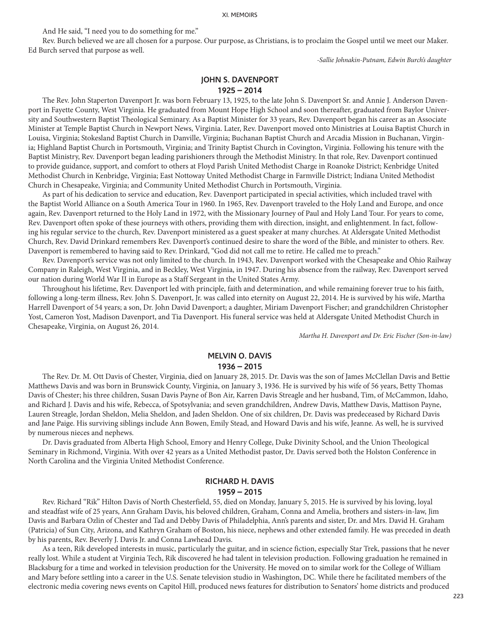And He said, "I need you to do something for me."

Rev. Burch believed we are all chosen for a purpose. Our purpose, as Christians, is to proclaim the Gospel until we meet our Maker. Ed Burch served that purpose as well.

*-Sallie Johnakin-Putnam, Edwin Burch's daughter*

# **JOHN S. DAVENPORT**

## **1925 – 2014**

The Rev. John Staperton Davenport Jr. was born February 13, 1925, to the late John S. Davenport Sr. and Annie J. Anderson Davenport in Fayette County, West Virginia. He graduated from Mount Hope High School and soon thereafter, graduated from Baylor University and Southwestern Baptist Theological Seminary. As a Baptist Minister for 33 years, Rev. Davenport began his career as an Associate Minister at Temple Baptist Church in Newport News, Virginia. Later, Rev. Davenport moved onto Ministries at Louisa Baptist Church in Louisa, Virginia; Stokesland Baptist Church in Danville, Virginia; Buchanan Baptist Church and Arcadia Mission in Buchanan, Virginia; Highland Baptist Church in Portsmouth, Virginia; and Trinity Baptist Church in Covington, Virginia. Following his tenure with the Baptist Ministry, Rev. Davenport began leading parishioners through the Methodist Ministry. In that role, Rev. Davenport continued to provide guidance, support, and comfort to others at Floyd Parish United Methodist Charge in Roanoke District; Kenbridge United Methodist Church in Kenbridge, Virginia; East Nottoway United Methodist Charge in Farmville District; Indiana United Methodist Church in Chesapeake, Virginia; and Community United Methodist Church in Portsmouth, Virginia.

As part of his dedication to service and education, Rev. Davenport participated in special activities, which included travel with the Baptist World Alliance on a South America Tour in 1960. In 1965, Rev. Davenport traveled to the Holy Land and Europe, and once again, Rev. Davenport returned to the Holy Land in 1972, with the Missionary Journey of Paul and Holy Land Tour. For years to come, Rev. Davenport often spoke of these journeys with others, providing them with direction, insight, and enlightenment. In fact, following his regular service to the church, Rev. Davenport ministered as a guest speaker at many churches. At Aldersgate United Methodist Church, Rev. David Drinkard remembers Rev. Davenport's continued desire to share the word of the Bible, and minister to others. Rev. Davenport is remembered to having said to Rev. Drinkard, "God did not call me to retire. He called me to preach."

Rev. Davenport's service was not only limited to the church. In 1943, Rev. Davenport worked with the Chesapeake and Ohio Railway Company in Raleigh, West Virginia, and in Beckley, West Virginia, in 1947. During his absence from the railway, Rev. Davenport served our nation during World War II in Europe as a Staff Sergeant in the United States Army.

Throughout his lifetime, Rev. Davenport led with principle, faith and determination, and while remaining forever true to his faith, following a long-term illness, Rev. John S. Davenport, Jr. was called into eternity on August 22, 2014. He is survived by his wife, Martha Harrell Davenport of 54 years; a son, Dr. John David Davenport; a daughter, Miriam Davenport Fischer; and grandchildren Christopher Yost, Cameron Yost, Madison Davenport, and Tia Davenport. His funeral service was held at Aldersgate United Methodist Church in Chesapeake, Virginia, on August 26, 2014.

*Martha H. Davenport and Dr. Eric Fischer (Son-in-law)*

# **MELVIN O. DAVIS**

## **1936 – 2015**

The Rev. Dr. M. Ott Davis of Chester, Virginia, died on January 28, 2015. Dr. Davis was the son of James McClellan Davis and Bettie Matthews Davis and was born in Brunswick County, Virginia, on January 3, 1936. He is survived by his wife of 56 years, Betty Thomas Davis of Chester; his three children, Susan Davis Payne of Bon Air, Karren Davis Streagle and her husband, Tim, of McCammon, Idaho, and Richard J. Davis and his wife, Rebecca, of Spotsylvania; and seven grandchildren, Andrew Davis, Matthew Davis, Mattison Payne, Lauren Streagle, Jordan Sheldon, Melia Sheldon, and Jaden Sheldon. One of six children, Dr. Davis was predeceased by Richard Davis and Jane Paige. His surviving siblings include Ann Bowen, Emily Stead, and Howard Davis and his wife, Jeanne. As well, he is survived by numerous nieces and nephews.

Dr. Davis graduated from Alberta High School, Emory and Henry College, Duke Divinity School, and the Union Theological Seminary in Richmond, Virginia. With over 42 years as a United Methodist pastor, Dr. Davis served both the Holston Conference in North Carolina and the Virginia United Methodist Conference.

# **RICHARD H. DAVIS**

### **1959 – 2015**

Rev. Richard "Rik" Hilton Davis of North Chesterfield, 55, died on Monday, January 5, 2015. He is survived by his loving, loyal and steadfast wife of 25 years, Ann Graham Davis, his beloved children, Graham, Conna and Amelia, brothers and sisters-in-law, Jim Davis and Barbara Ozlin of Chester and Tad and Debby Davis of Philadelphia, Ann's parents and sister, Dr. and Mrs. David H. Graham (Patricia) of Sun City, Arizona, and Kathryn Graham of Boston, his niece, nephews and other extended family. He was preceded in death by his parents, Rev. Beverly J. Davis Jr. and Conna Lawhead Davis.

As a teen, Rik developed interests in music, particularly the guitar, and in science fiction, especially Star Trek, passions that he never really lost. While a student at Virginia Tech, Rik discovered he had talent in television production. Following graduation he remained in Blacksburg for a time and worked in television production for the University. He moved on to similar work for the College of William and Mary before settling into a career in the U.S. Senate television studio in Washington, DC. While there he facilitated members of the electronic media covering news events on Capitol Hill, produced news features for distribution to Senators' home districts and produced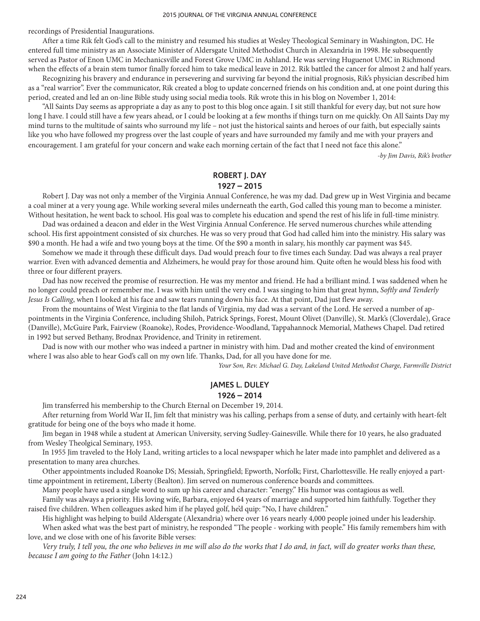recordings of Presidential Inaugurations.

After a time Rik felt God's call to the ministry and resumed his studies at Wesley Theological Seminary in Washington, DC. He entered full time ministry as an Associate Minister of Aldersgate United Methodist Church in Alexandria in 1998. He subsequently served as Pastor of Enon UMC in Mechanicsville and Forest Grove UMC in Ashland. He was serving Huguenot UMC in Richmond when the effects of a brain stem tumor finally forced him to take medical leave in 2012. Rik battled the cancer for almost 2 and half years.

Recognizing his bravery and endurance in persevering and surviving far beyond the initial prognosis, Rik's physician described him as a "real warrior". Ever the communicator, Rik created a blog to update concerned friends on his condition and, at one point during this period, created and led an on-line Bible study using social media tools. Rik wrote this in his blog on November 1, 2014:

"All Saints Day seems as appropriate a day as any to post to this blog once again. I sit still thankful for every day, but not sure how long I have. I could still have a few years ahead, or I could be looking at a few months if things turn on me quickly. On All Saints Day my mind turns to the multitude of saints who surround my life – not just the historical saints and heroes of our faith, but especially saints like you who have followed my progress over the last couple of years and have surrounded my family and me with your prayers and encouragement. I am grateful for your concern and wake each morning certain of the fact that I need not face this alone."

*-by Jim Davis, Rik's brother*

## **ROBERT J. DAY**

#### **1927 – 2015**

Robert J. Day was not only a member of the Virginia Annual Conference, he was my dad. Dad grew up in West Virginia and became a coal miner at a very young age. While working several miles underneath the earth, God called this young man to become a minister. Without hesitation, he went back to school. His goal was to complete his education and spend the rest of his life in full-time ministry.

Dad was ordained a deacon and elder in the West Virginia Annual Conference. He served numerous churches while attending school. His first appointment consisted of six churches. He was so very proud that God had called him into the ministry. His salary was \$90 a month. He had a wife and two young boys at the time. Of the \$90 a month in salary, his monthly car payment was \$45.

Somehow we made it through these difficult days. Dad would preach four to five times each Sunday. Dad was always a real prayer warrior. Even with advanced dementia and Alzheimers, he would pray for those around him. Quite often he would bless his food with three or four different prayers.

Dad has now received the promise of resurrection. He was my mentor and friend. He had a brilliant mind. I was saddened when he no longer could preach or remember me. I was with him until the very end. I was singing to him that great hymn, *Softly and Tenderly Jesus Is Calling*, when I looked at his face and saw tears running down his face. At that point, Dad just flew away.

From the mountains of West Virginia to the flat lands of Virginia, my dad was a servant of the Lord. He served a number of appointments in the Virginia Conference, including Shiloh, Patrick Springs, Forest, Mount Olivet (Danville), St. Mark's (Cloverdale), Grace (Danville), McGuire Park, Fairview (Roanoke), Rodes, Providence-Woodland, Tappahannock Memorial, Mathews Chapel. Dad retired in 1992 but served Bethany, Brodnax Providence, and Trinity in retirement.

Dad is now with our mother who was indeed a partner in ministry with him. Dad and mother created the kind of environment where I was also able to hear God's call on my own life. Thanks, Dad, for all you have done for me.

*Your Son, Rev. Michael G. Day, Lakeland United Methodist Charge, Farmville District*

### **JAMES L. DULEY**

#### **1926 – 2014**

Jim transferred his membership to the Church Eternal on December 19, 2014.

After returning from World War II, Jim felt that ministry was his calling, perhaps from a sense of duty, and certainly with heart-felt gratitude for being one of the boys who made it home.

Jim began in 1948 while a student at American University, serving Sudley-Gainesville. While there for 10 years, he also graduated from Wesley Theolgical Seminary, 1953.

In 1955 Jim traveled to the Holy Land, writing articles to a local newspaper which he later made into pamphlet and delivered as a presentation to many area churches.

Other appointments included Roanoke DS; Messiah, Springfield; Epworth, Norfolk; First, Charlottesville. He really enjoyed a parttime appointment in retirement, Liberty (Bealton). Jim served on numerous conference boards and committees.

Many people have used a single word to sum up his career and character: "energy." His humor was contagious as well.

Family was always a priority. His loving wife, Barbara, enjoyed 64 years of marriage and supported him faithfully. Together they raised five children. When colleagues asked him if he played golf, he'd quip: "No, I have children."

His highlight was helping to build Aldersgate (Alexandria) where over 16 years nearly 4,000 people joined under his leadership.

When asked what was the best part of ministry, he responded "The people - working with people." His family remembers him with love, and we close with one of his favorite Bible verses:

*Very truly, I tell you, the one who believes in me will also do the works that I do and, in fact, will do greater works than these, because I am going to the Father* (John 14:12.)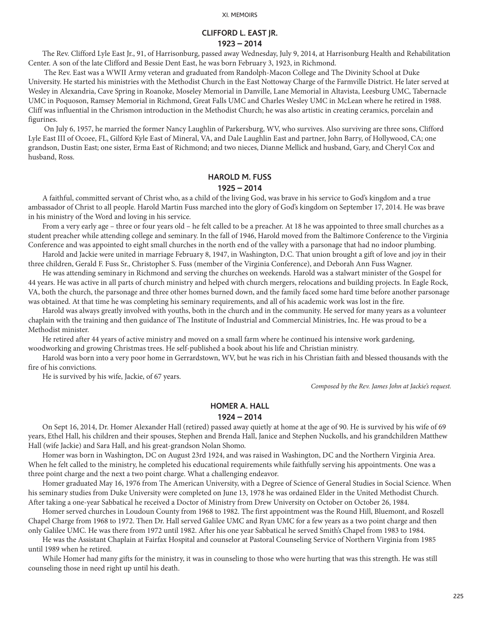### **CLIFFORD L. EAST JR. 1923 – 2014**

The Rev. Clifford Lyle East Jr., 91, of Harrisonburg, passed away Wednesday, July 9, 2014, at Harrisonburg Health and Rehabilitation Center. A son of the late Clifford and Bessie Dent East, he was born February 3, 1923, in Richmond.

 The Rev. East was a WWII Army veteran and graduated from Randolph-Macon College and The Divinity School at Duke University. He started his ministries with the Methodist Church in the East Nottoway Charge of the Farmville District. He later served at Wesley in Alexandria, Cave Spring in Roanoke, Moseley Memorial in Danville, Lane Memorial in Altavista, Leesburg UMC, Tabernacle UMC in Poquoson, Ramsey Memorial in Richmond, Great Falls UMC and Charles Wesley UMC in McLean where he retired in 1988. Cliff was influential in the Chrismon introduction in the Methodist Church; he was also artistic in creating ceramics, porcelain and figurines.

 On July 6, 1957, he married the former Nancy Laughlin of Parkersburg, WV, who survives. Also surviving are three sons, Clifford Lyle East III of Ocoee, FL, Gilford Kyle East of Mineral, VA, and Dale Laughlin East and partner, John Barry, of Hollywood, CA; one grandson, Dustin East; one sister, Erma East of Richmond; and two nieces, Dianne Mellick and husband, Gary, and Cheryl Cox and husband, Ross.

#### **HAROLD M. FUSS**

#### **1925 – 2014**

A faithful, committed servant of Christ who, as a child of the living God, was brave in his service to God's kingdom and a true ambassador of Christ to all people. Harold Martin Fuss marched into the glory of God's kingdom on September 17, 2014. He was brave in his ministry of the Word and loving in his service.

From a very early age – three or four years old – he felt called to be a preacher. At 18 he was appointed to three small churches as a student preacher while attending college and seminary. In the fall of 1946, Harold moved from the Baltimore Conference to the Virginia Conference and was appointed to eight small churches in the north end of the valley with a parsonage that had no indoor plumbing.

Harold and Jackie were united in marriage February 8, 1947, in Washington, D.C. That union brought a gift of love and joy in their three children, Gerald F. Fuss Sr., Christopher S. Fuss (member of the Virginia Conference), and Deborah Ann Fuss Wagner.

He was attending seminary in Richmond and serving the churches on weekends. Harold was a stalwart minister of the Gospel for 44 years. He was active in all parts of church ministry and helped with church mergers, relocations and building projects. In Eagle Rock, VA, both the church, the parsonage and three other homes burned down, and the family faced some hard time before another parsonage was obtained. At that time he was completing his seminary requirements, and all of his academic work was lost in the fire.

Harold was always greatly involved with youths, both in the church and in the community. He served for many years as a volunteer chaplain with the training and then guidance of The Institute of Industrial and Commercial Ministries, Inc. He was proud to be a Methodist minister.

He retired after 44 years of active ministry and moved on a small farm where he continued his intensive work gardening, woodworking and growing Christmas trees. He self-published a book about his life and Christian ministry.

Harold was born into a very poor home in Gerrardstown, WV, but he was rich in his Christian faith and blessed thousands with the fire of his convictions.

He is survived by his wife, Jackie, of 67 years.

*Composed by the Rev. James John at Jackie's request.*

#### **HOMER A. HALL**

#### **1924 – 2014**

On Sept 16, 2014, Dr. Homer Alexander Hall (retired) passed away quietly at home at the age of 90. He is survived by his wife of 69 years, Ethel Hall, his children and their spouses, Stephen and Brenda Hall, Janice and Stephen Nuckolls, and his grandchildren Matthew Hall (wife Jackie) and Sara Hall, and his great-grandson Nolan Shomo.

Homer was born in Washington, DC on August 23rd 1924, and was raised in Washington, DC and the Northern Virginia Area. When he felt called to the ministry, he completed his educational requirements while faithfully serving his appointments. One was a three point charge and the next a two point charge. What a challenging endeavor.

Homer graduated May 16, 1976 from The American University, with a Degree of Science of General Studies in Social Science. When his seminary studies from Duke University were completed on June 13, 1978 he was ordained Elder in the United Methodist Church. After taking a one-year Sabbatical he received a Doctor of Ministry from Drew University on October on October 26, 1984.

Homer served churches in Loudoun County from 1968 to 1982. The first appointment was the Round Hill, Bluemont, and Roszell Chapel Charge from 1968 to 1972. Then Dr. Hall served Galilee UMC and Ryan UMC for a few years as a two point charge and then only Galilee UMC. He was there from 1972 until 1982. After his one year Sabbatical he served Smith's Chapel from 1983 to 1984.

He was the Assistant Chaplain at Fairfax Hospital and counselor at Pastoral Counseling Service of Northern Virginia from 1985 until 1989 when he retired.

While Homer had many gifts for the ministry, it was in counseling to those who were hurting that was this strength. He was still counseling those in need right up until his death.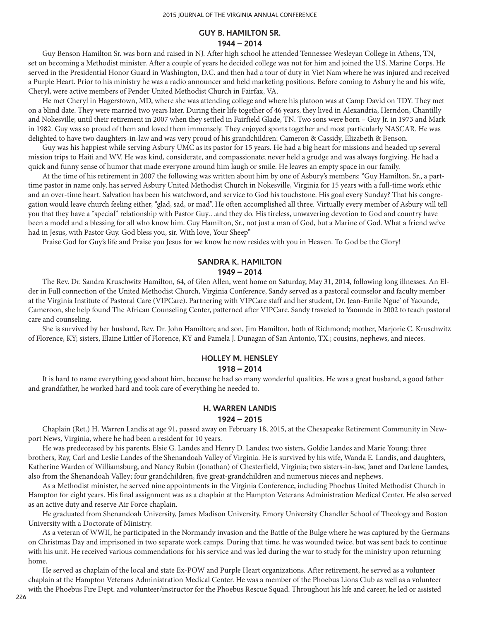### **GUY B. HAMILTON SR. 1944 – 2014**

Guy Benson Hamilton Sr. was born and raised in NJ. After high school he attended Tennessee Wesleyan College in Athens, TN, set on becoming a Methodist minister. After a couple of years he decided college was not for him and joined the U.S. Marine Corps. He served in the Presidential Honor Guard in Washington, D.C. and then had a tour of duty in Viet Nam where he was injured and received a Purple Heart. Prior to his ministry he was a radio announcer and held marketing positions. Before coming to Asbury he and his wife, Cheryl, were active members of Pender United Methodist Church in Fairfax, VA.

He met Cheryl in Hagerstown, MD, where she was attending college and where his platoon was at Camp David on TDY. They met on a blind date. They were married two years later. During their life together of 46 years, they lived in Alexandria, Herndon, Chantilly and Nokesville; until their retirement in 2007 when they settled in Fairfield Glade, TN. Two sons were born – Guy Jr. in 1973 and Mark in 1982. Guy was so proud of them and loved them immensely. They enjoyed sports together and most particularly NASCAR. He was delighted to have two daughters-in-law and was very proud of his grandchildren: Cameron & Cassidy, Elizabeth & Benson.

Guy was his happiest while serving Asbury UMC as its pastor for 15 years. He had a big heart for missions and headed up several mission trips to Haiti and WV. He was kind, considerate, and compassionate; never held a grudge and was always forgiving. He had a quick and funny sense of humor that made everyone around him laugh or smile. He leaves an empty space in our family.

At the time of his retirement in 2007 the following was written about him by one of Asbury's members: "Guy Hamilton, Sr., a parttime pastor in name only, has served Asbury United Methodist Church in Nokesville, Virginia for 15 years with a full-time work ethic and an over-time heart. Salvation has been his watchword, and service to God his touchstone. His goal every Sunday? That his congregation would leave church feeling either, "glad, sad, or mad". He often accomplished all three. Virtually every member of Asbury will tell you that they have a "special" relationship with Pastor Guy…and they do. His tireless, unwavering devotion to God and country have been a model and a blessing for all who know him. Guy Hamilton, Sr., not just a man of God, but a Marine of God. What a friend we've had in Jesus, with Pastor Guy. God bless you, sir. With love, Your Sheep"

Praise God for Guy's life and Praise you Jesus for we know he now resides with you in Heaven. To God be the Glory!

## **SANDRA K. HAMILTON 1949 – 2014**

The Rev. Dr. Sandra Kruschwitz Hamilton, 64, of Glen Allen, went home on Saturday, May 31, 2014, following long illnesses. An Elder in Full connection of the United Methodist Church, Virginia Conference, Sandy served as a pastoral counselor and faculty member at the Virginia Institute of Pastoral Care (VIPCare). Partnering with VIPCare staff and her student, Dr. Jean-Emile Ngue' of Yaounde, Cameroon, she help found The African Counseling Center, patterned after VIPCare. Sandy traveled to Yaounde in 2002 to teach pastoral care and counseling.

She is survived by her husband, Rev. Dr. John Hamilton; and son, Jim Hamilton, both of Richmond; mother, Marjorie C. Kruschwitz of Florence, KY; sisters, Elaine Littler of Florence, KY and Pamela J. Dunagan of San Antonio, TX.; cousins, nephews, and nieces.

## **HOLLEY M. HENSLEY**

### **1918 – 2014**

It is hard to name everything good about him, because he had so many wonderful qualities. He was a great husband, a good father and grandfather, he worked hard and took care of everything he needed to.

#### **H. WARREN LANDIS**

#### **1924 – 2015**

Chaplain (Ret.) H. Warren Landis at age 91, passed away on February 18, 2015, at the Chesapeake Retirement Community in Newport News, Virginia, where he had been a resident for 10 years.

He was predeceased by his parents, Elsie G. Landes and Henry D. Landes; two sisters, Goldie Landes and Marie Young; three brothers, Ray, Carl and Leslie Landes of the Shenandoah Valley of Virginia. He is survived by his wife, Wanda E. Landis, and daughters, Katherine Warden of Williamsburg, and Nancy Rubin (Jonathan) of Chesterfield, Virginia; two sisters-in-law, Janet and Darlene Landes, also from the Shenandoah Valley; four grandchildren, five great-grandchildren and numerous nieces and nephews.

As a Methodist minister, he served nine appointments in the Virginia Conference, including Phoebus United Methodist Church in Hampton for eight years. His final assignment was as a chaplain at the Hampton Veterans Administration Medical Center. He also served as an active duty and reserve Air Force chaplain.

He graduated from Shenandoah University, James Madison University, Emory University Chandler School of Theology and Boston University with a Doctorate of Ministry.

As a veteran of WWII, he participated in the Normandy invasion and the Battle of the Bulge where he was captured by the Germans on Christmas Day and imprisoned in two separate work camps. During that time, he was wounded twice, but was sent back to continue with his unit. He received various commendations for his service and was led during the war to study for the ministry upon returning home.

He served as chaplain of the local and state Ex-POW and Purple Heart organizations. After retirement, he served as a volunteer chaplain at the Hampton Veterans Administration Medical Center. He was a member of the Phoebus Lions Club as well as a volunteer with the Phoebus Fire Dept. and volunteer/instructor for the Phoebus Rescue Squad. Throughout his life and career, he led or assisted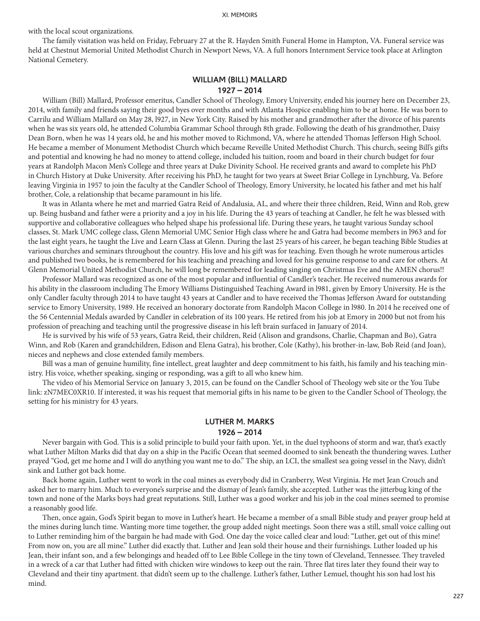with the local scout organizations.

The family visitation was held on Friday, February 27 at the R. Hayden Smith Funeral Home in Hampton, VA. Funeral service was held at Chestnut Memorial United Methodist Church in Newport News, VA. A full honors Internment Service took place at Arlington National Cemetery.

## **WILLIAM (BILL) MALLARD 1927 – 2014**

William (Bill) Mallard, Professor emeritus, Candler School of Theology, Emory University, ended his journey here on December 23, 2014, with family and friends saying their good byes over months and with Atlanta Hospice enabling him to be at home. He was born to Carrilu and William Mallard on May 28, l927, in New York City. Raised by his mother and grandmother after the divorce of his parents when he was six years old, he attended Columbia Grammar School through 8th grade. Following the death of his grandmother, Daisy Dean Born, when he was 14 years old, he and his mother moved to Richmond, VA, where he attended Thomas Jefferson High School. He became a member of Monument Methodist Church which became Reveille United Methodist Church. This church, seeing Bill's gifts and potential and knowing he had no money to attend college, included his tuition, room and board in their church budget for four years at Randolph Macon Men's College and three years at Duke Divinity School. He received grants and award to complete his PhD in Church History at Duke University. After receiving his PhD, he taught for two years at Sweet Briar College in Lynchburg, Va. Before leaving Virginia in 1957 to join the faculty at the Candler School of Theology, Emory University, he located his father and met his half brother, Cole, a relationship that became paramount in his life.

It was in Atlanta where he met and married Gatra Reid of Andalusia, AL, and where their three children, Reid, Winn and Rob, grew up. Being husband and father were a priority and a joy in his life. During the 43 years of teaching at Candler, he felt he was blessed with supportive and collaborative colleagues who helped shape his professional life. During these years, he taught various Sunday school classes, St. Mark UMC college class, Glenn Memorial UMC Senior High class where he and Gatra had become members in l963 and for the last eight years, he taught the Live and Learn Class at Glenn. During the last 25 years of his career, he began teaching Bible Studies at various churches and seminars throughout the country. His love and his gift was for teaching. Even though he wrote numerous articles and published two books, he is remembered for his teaching and preaching and loved for his genuine response to and care for others. At Glenn Memorial United Methodist Church, he will long be remembered for leading singing on Christmas Eve and the AMEN chorus!!

Professor Mallard was recognized as one of the most popular and influential of Candler's teacher. He received numerous awards for his ability in the classroom including The Emory Williams Distinguished Teaching Award in l981, given by Emory University. He is the only Candler faculty through 2014 to have taught 43 years at Candler and to have received the Thomas Jefferson Award for outstanding service to Emory University, 1989. He received an honorary doctorate from Randolph Macon College in l980. In 2014 he received one of the 56 Centennial Medals awarded by Candler in celebration of its 100 years. He retired from his job at Emory in 2000 but not from his profession of preaching and teaching until the progressive disease in his left brain surfaced in January of 2014.

He is survived by his wife of 53 years, Gatra Reid, their children, Reid (Alison and grandsons, Charlie, Chapman and Bo), Gatra Winn, and Rob (Karen and grandchildren, Edison and Elena Gatra), his brother, Cole (Kathy), his brother-in-law, Bob Reid (and Joan), nieces and nephews and close extended family members.

Bill was a man of genuine humility, fine intellect, great laughter and deep commitment to his faith, his family and his teaching ministry. His voice, whether speaking, singing or responding, was a gift to all who knew him.

The video of his Memorial Service on January 3, 2015, can be found on the Candler School of Theology web site or the You Tube link: zN7MEC0XR10. If interested, it was his request that memorial gifts in his name to be given to the Candler School of Theology, the setting for his ministry for 43 years.

## **LUTHER M. MARKS 1926 – 2014**

Never bargain with God. This is a solid principle to build your faith upon. Yet, in the duel typhoons of storm and war, that's exactly what Luther Milton Marks did that day on a ship in the Pacific Ocean that seemed doomed to sink beneath the thundering waves. Luther prayed "God, get me home and I will do anything you want me to do." The ship, an LCI, the smallest sea going vessel in the Navy, didn't sink and Luther got back home.

Back home again, Luther went to work in the coal mines as everybody did in Cranberry, West Virginia. He met Jean Crouch and asked her to marry him. Much to everyone's surprise and the dismay of Jean's family, she accepted. Luther was the jitterbug king of the town and none of the Marks boys had great reputations. Still, Luther was a good worker and his job in the coal mines seemed to promise a reasonably good life.

Then, once again, God's Spirit began to move in Luther's heart. He became a member of a small Bible study and prayer group held at the mines during lunch time. Wanting more time together, the group added night meetings. Soon there was a still, small voice calling out to Luther reminding him of the bargain he had made with God. One day the voice called clear and loud: "Luther, get out of this mine! From now on, you are all mine." Luther did exactly that. Luther and Jean sold their house and their furnishings. Luther loaded up his Jean, their infant son, and a few belongings and headed off to Lee Bible College in the tiny town of Cleveland, Tennessee. They traveled in a wreck of a car that Luther had fitted with chicken wire windows to keep out the rain. Three flat tires later they found their way to Cleveland and their tiny apartment. that didn't seem up to the challenge. Luther's father, Luther Lemuel, thought his son had lost his mind.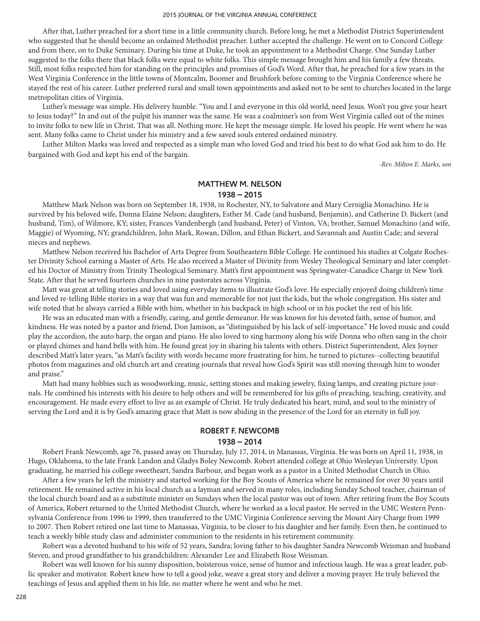After that, Luther preached for a short time in a little community church. Before long, he met a Methodist District Superintendent who suggested that he should become an ordained Methodist preacher. Luther accepted the challenge. He went on to Concord College and from there, on to Duke Seminary. During his time at Duke, he took an appointment to a Methodist Charge. One Sunday Luther suggested to the folks there that black folks were equal to white folks. This simple message brought him and his family a few threats. Still, most folks respected him for standing on the principles and promises of God's Word. After that, he preached for a few years in the West Virginia Conference in the little towns of Montcalm, Boomer and Brushfork before coming to the Virginia Conference where he stayed the rest of his career. Luther preferred rural and small town appointments and asked not to be sent to churches located in the large metropolitan cities of Virginia.

Luther's message was simple. His delivery humble. "You and I and everyone in this old world, need Jesus. Won't you give your heart to Jesus today?" In and out of the pulpit his manner was the same. He was a coalminer's son from West Virginia called out of the mines to invite folks to new life in Christ. That was all. Nothing more. He kept the message simple. He loved his people. He went where he was sent. Many folks came to Christ under his ministry and a few saved souls entered ordained ministry.

Luther Milton Marks was loved and respected as a simple man who loved God and tried his best to do what God ask him to do. He bargained with God and kept his end of the bargain.

*-Rev. Milton E. Marks, son*

### **MATTHEW M. NELSON 1938 – 2015**

Matthew Mark Nelson was born on September 18, 1938, in Rochester, NY, to Salvatore and Mary Cerniglia Monachino. He is survived by his beloved wife, Donna Elaine Nelson; daughters, Esther M. Cade (and husband, Benjamin), and Catherine D. Bickert (and husband, Tim), of Wilmore, KY; sister, Frances Vandenbergh (and husband, Peter) of Vinton, VA; brother, Samuel Monachino (and wife, Maggie) of Wyoming, NY; grandchildren, John Mark, Rowan, Dillon, and Ethan Bickert, and Savannah and Austin Cade; and several nieces and nephews.

Matthew Nelson received his Bachelor of Arts Degree from Southeastern Bible College. He continued his studies at Colgate Rochester Divinity School earning a Master of Arts. He also received a Master of Divinity from Wesley Theological Seminary and later completed his Doctor of Ministry from Trinity Theological Seminary. Matt's first appointment was Springwater-Canadice Charge in New York State. After that he served fourteen churches in nine pastorates across Virginia.

Matt was great at telling stories and loved using everyday items to illustrate God's love. He especially enjoyed doing children's time and loved re-telling Bible stories in a way that was fun and memorable for not just the kids, but the whole congregation. His sister and wife noted that he always carried a Bible with him, whether in his backpack in high school or in his pocket the rest of his life.

He was an educated man with a friendly, caring, and gentle demeanor. He was known for his devoted faith, sense of humor, and kindness. He was noted by a pastor and friend, Don Jamison, as "distinguished by his lack of self-importance." He loved music and could play the accordion, the auto harp, the organ and piano. He also loved to sing harmony along his wife Donna who often sang in the choir or played chimes and hand bells with him. He found great joy in sharing his talents with others. District Superintendent, Alex Joyner described Matt's later years, "as Matt's facility with words became more frustrating for him, he turned to pictures--collecting beautiful photos from magazines and old church art and creating journals that reveal how God's Spirit was still moving through him to wonder and praise."

Matt had many hobbies such as woodworking, music, setting stones and making jewelry, fixing lamps, and creating picture journals. He combined his interests with his desire to help others and will be remembered for his gifts of preaching, teaching, creativity, and encouragement. He made every effort to live as an example of Christ. He truly dedicated his heart, mind, and soul to the ministry of serving the Lord and it is by God's amazing grace that Matt is now abiding in the presence of the Lord for an eternity in full joy.

## **ROBERT F. NEWCOMB 1938 – 2014**

Robert Frank Newcomb, age 76, passed away on Thursday, July 17, 2014, in Manassas, Virginia. He was born on April 11, 1938, in Hugo, Oklahoma, to the late Frank Landon and Gladys Boley Newcomb. Robert attended college at Ohio Wesleyan University. Upon graduating, he married his college sweetheart, Sandra Barbour, and began work as a pastor in a United Methodist Church in Ohio.

After a few years he left the ministry and started working for the Boy Scouts of America where he remained for over 30 years until retirement. He remained active in his local church as a layman and served in many roles, including Sunday School teacher, chairman of the local church board and as a substitute minister on Sundays when the local pastor was out of town. After retiring from the Boy Scouts of America, Robert returned to the United Methodist Church, where he worked as a local pastor. He served in the UMC Western Pennsylvania Conference from 1996 to 1999, then transferred to the UMC Virginia Conference serving the Mount Airy Charge from 1999 to 2007. Then Robert retired one last time to Manassas, Virginia, to be closer to his daughter and her family. Even then, he continued to teach a weekly bible study class and administer communion to the residents in his retirement community.

Robert was a devoted husband to his wife of 52 years, Sandra; loving father to his daughter Sandra Newcomb Weisman and husband Steven, and proud grandfather to his grandchildren: Alexander Lee and Elizabeth Rose Weisman.

Robert was well known for his sunny disposition, boisterous voice, sense of humor and infectious laugh. He was a great leader, public speaker and motivator. Robert knew how to tell a good joke, weave a great story and deliver a moving prayer. He truly believed the teachings of Jesus and applied them in his life, no matter where he went and who he met.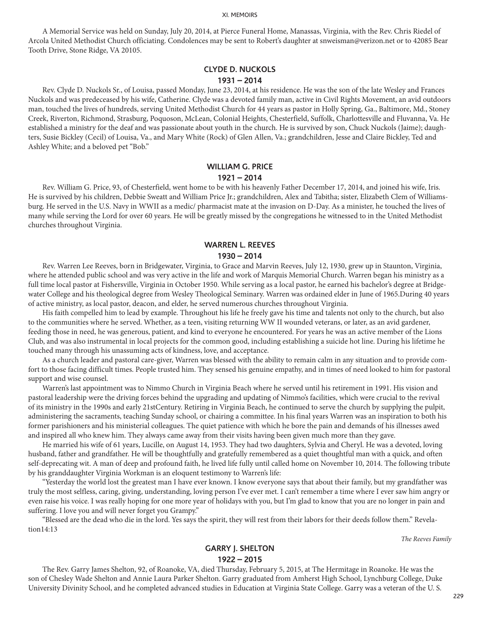A Memorial Service was held on Sunday, July 20, 2014, at Pierce Funeral Home, Manassas, Virginia, with the Rev. Chris Riedel of Arcola United Methodist Church officiating. Condolences may be sent to Robert's daughter at snweisman@verizon.net or to 42085 Bear Tooth Drive, Stone Ridge, VA 20105.

### **CLYDE D. NUCKOLS 1931 – 2014**

Rev. Clyde D. Nuckols Sr., of Louisa, passed Monday, June 23, 2014, at his residence. He was the son of the late Wesley and Frances Nuckols and was predeceased by his wife, Catherine. Clyde was a devoted family man, active in Civil Rights Movement, an avid outdoors man, touched the lives of hundreds, serving United Methodist Church for 44 years as pastor in Holly Spring, Ga., Baltimore, Md., Stoney Creek, Riverton, Richmond, Strasburg, Poquoson, McLean, Colonial Heights, Chesterfield, Suffolk, Charlottesville and Fluvanna, Va. He established a ministry for the deaf and was passionate about youth in the church. He is survived by son, Chuck Nuckols (Jaime); daughters, Susie Bickley (Cecil) of Louisa, Va., and Mary White (Rock) of Glen Allen, Va.; grandchildren, Jesse and Claire Bickley, Ted and Ashley White; and a beloved pet "Bob."

## **WILLIAM G. PRICE 1921 – 2014**

Rev. William G. Price, 93, of Chesterfield, went home to be with his heavenly Father December 17, 2014, and joined his wife, Iris. He is survived by his children, Debbie Sweatt and William Price Jr.; grandchildren, Alex and Tabitha; sister, Elizabeth Clem of Williamsburg. He served in the U.S. Navy in WWII as a medic/ pharmacist mate at the invasion on D-Day. As a minister, he touched the lives of many while serving the Lord for over 60 years. He will be greatly missed by the congregations he witnessed to in the United Methodist churches throughout Virginia.

## **WARREN L. REEVES 1930 – 2014**

Rev. Warren Lee Reeves, born in Bridgewater, Virginia, to Grace and Marvin Reeves, July 12, 1930, grew up in Staunton, Virginia, where he attended public school and was very active in the life and work of Marquis Memorial Church. Warren began his ministry as a full time local pastor at Fishersville, Virginia in October 1950. While serving as a local pastor, he earned his bachelor's degree at Bridgewater College and his theological degree from Wesley Theological Seminary. Warren was ordained elder in June of 1965.During 40 years of active ministry, as local pastor, deacon, and elder, he served numerous churches throughout Virginia.

His faith compelled him to lead by example. Throughout his life he freely gave his time and talents not only to the church, but also to the communities where he served. Whether, as a teen, visiting returning WW II wounded veterans, or later, as an avid gardener, feeding those in need, he was generous, patient, and kind to everyone he encountered. For years he was an active member of the Lions Club, and was also instrumental in local projects for the common good, including establishing a suicide hot line. During his lifetime he touched many through his unassuming acts of kindness, love, and acceptance.

As a church leader and pastoral care-giver, Warren was blessed with the ability to remain calm in any situation and to provide comfort to those facing difficult times. People trusted him. They sensed his genuine empathy, and in times of need looked to him for pastoral support and wise counsel.

Warren's last appointment was to Nimmo Church in Virginia Beach where he served until his retirement in 1991. His vision and pastoral leadership were the driving forces behind the upgrading and updating of Nimmo's facilities, which were crucial to the revival of its ministry in the 1990s and early 21stCentury. Retiring in Virginia Beach, he continued to serve the church by supplying the pulpit, administering the sacraments, teaching Sunday school, or chairing a committee. In his final years Warren was an inspiration to both his former parishioners and his ministerial colleagues. The quiet patience with which he bore the pain and demands of his illnesses awed and inspired all who knew him. They always came away from their visits having been given much more than they gave.

He married his wife of 61 years, Lucille, on August 14, 1953. They had two daughters, Sylvia and Cheryl. He was a devoted, loving husband, father and grandfather. He will be thoughtfully and gratefully remembered as a quiet thoughtful man with a quick, and often self-deprecating wit. A man of deep and profound faith, he lived life fully until called home on November 10, 2014. The following tribute by his granddaughter Virginia Workman is an eloquent testimony to Warren's life:

"Yesterday the world lost the greatest man I have ever known. I know everyone says that about their family, but my grandfather was truly the most selfless, caring, giving, understanding, loving person I've ever met. I can't remember a time where I ever saw him angry or even raise his voice. I was really hoping for one more year of holidays with you, but I'm glad to know that you are no longer in pain and suffering. I love you and will never forget you Grampy."

"Blessed are the dead who die in the lord. Yes says the spirit, they will rest from their labors for their deeds follow them." Revelation14:13

*The Reeves Family*

## **GARRY J. SHELTON 1922 – 2015**

The Rev. Garry James Shelton, 92, of Roanoke, VA, died Thursday, February 5, 2015, at The Hermitage in Roanoke. He was the son of Chesley Wade Shelton and Annie Laura Parker Shelton. Garry graduated from Amherst High School, Lynchburg College, Duke University Divinity School, and he completed advanced studies in Education at Virginia State College. Garry was a veteran of the U. S.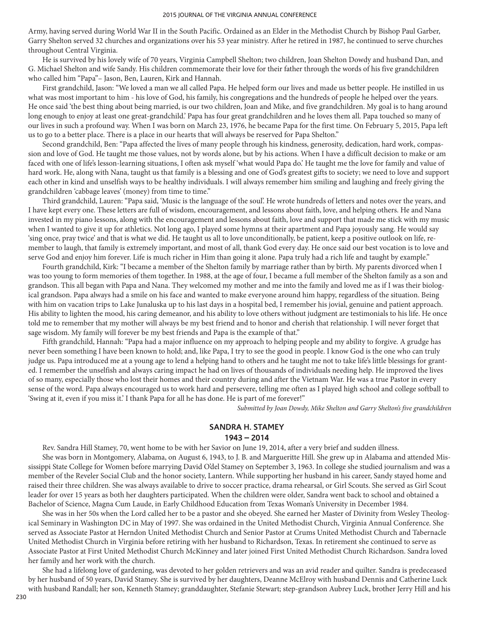Army, having served during World War II in the South Pacific. Ordained as an Elder in the Methodist Church by Bishop Paul Garber, Garry Shelton served 32 churches and organizations over his 53 year ministry. After he retired in 1987, he continued to serve churches throughout Central Virginia.

He is survived by his lovely wife of 70 years, Virginia Campbell Shelton; two children, Joan Shelton Dowdy and husband Dan, and G. Michael Shelton and wife Sandy. His children commemorate their love for their father through the words of his five grandchildren who called him "Papa"– Jason, Ben, Lauren, Kirk and Hannah.

First grandchild, Jason: "We loved a man we all called Papa. He helped form our lives and made us better people. He instilled in us what was most important to him - his love of God, his family, his congregations and the hundreds of people he helped over the years. He once said 'the best thing about being married, is our two children, Joan and Mike, and five grandchildren. My goal is to hang around long enough to enjoy at least one great-grandchild.' Papa has four great grandchildren and he loves them all. Papa touched so many of our lives in such a profound way. When I was born on March 23, 1976, he became Papa for the first time. On February 5, 2015, Papa left us to go to a better place. There is a place in our hearts that will always be reserved for Papa Shelton."

Second grandchild, Ben: "Papa affected the lives of many people through his kindness, generosity, dedication, hard work, compassion and love of God. He taught me those values, not by words alone, but by his actions. When I have a difficult decision to make or am faced with one of life's lesson-learning situations, I often ask myself 'what would Papa do.' He taught me the love for family and value of hard work. He, along with Nana, taught us that family is a blessing and one of God's greatest gifts to society; we need to love and support each other in kind and unselfish ways to be healthy individuals. I will always remember him smiling and laughing and freely giving the grandchildren 'cabbage leaves' (money) from time to time."

Third grandchild, Lauren: "Papa said, 'Music is the language of the soul'. He wrote hundreds of letters and notes over the years, and I have kept every one. These letters are full of wisdom, encouragement, and lessons about faith, love, and helping others. He and Nana invested in my piano lessons, along with the encouragement and lessons about faith, love and support that made me stick with my music when I wanted to give it up for athletics. Not long ago, I played some hymns at their apartment and Papa joyously sang. He would say 'sing once, pray twice' and that is what we did. He taught us all to love unconditionally, be patient, keep a positive outlook on life, remember to laugh, that family is extremely important, and most of all, thank God every day. He once said our best vocation is to love and serve God and enjoy him forever. Life is much richer in Him than going it alone. Papa truly had a rich life and taught by example."

Fourth grandchild, Kirk: "I became a member of the Shelton family by marriage rather than by birth. My parents divorced when I was too young to form memories of them together. In 1988, at the age of four, I became a full member of the Shelton family as a son and grandson. This all began with Papa and Nana. They welcomed my mother and me into the family and loved me as if I was their biological grandson. Papa always had a smile on his face and wanted to make everyone around him happy, regardless of the situation. Being with him on vacation trips to Lake Junaluska up to his last days in a hospital bed, I remember his jovial, genuine and patient approach. His ability to lighten the mood, his caring demeanor, and his ability to love others without judgment are testimonials to his life. He once told me to remember that my mother will always be my best friend and to honor and cherish that relationship. I will never forget that sage wisdom. My family will forever be my best friends and Papa is the example of that."

Fifth grandchild, Hannah: "Papa had a major influence on my approach to helping people and my ability to forgive. A grudge has never been something I have been known to hold; and, like Papa, I try to see the good in people. I know God is the one who can truly judge us. Papa introduced me at a young age to lend a helping hand to others and he taught me not to take life's little blessings for granted. I remember the unselfish and always caring impact he had on lives of thousands of individuals needing help. He improved the lives of so many, especially those who lost their homes and their country during and after the Vietnam War. He was a true Pastor in every sense of the word. Papa always encouraged us to work hard and persevere, telling me often as I played high school and college softball to 'Swing at it, even if you miss it.' I thank Papa for all he has done. He is part of me forever!"

*Submitted by Joan Dowdy, Mike Shelton and Garry Shelton's five grandchildren*

### **SANDRA H. STAMEY 1943 – 2014**

Rev. Sandra Hill Stamey, 70, went home to be with her Savior on June 19, 2014, after a very brief and sudden illness.

She was born in Montgomery, Alabama, on August 6, 1943, to J. B. and Margueritte Hill. She grew up in Alabama and attended Mississippi State College for Women before marrying David O'del Stamey on September 3, 1963. In college she studied journalism and was a member of the Reveler Social Club and the honor society, Lantern. While supporting her husband in his career, Sandy stayed home and raised their three children. She was always available to drive to soccer practice, drama rehearsal, or Girl Scouts. She served as Girl Scout leader for over 15 years as both her daughters participated. When the children were older, Sandra went back to school and obtained a Bachelor of Science, Magna Cum Laude, in Early Childhood Education from Texas Woman's University in December 1984.

She was in her 50s when the Lord called her to be a pastor and she obeyed. She earned her Master of Divinity from Wesley Theological Seminary in Washington DC in May of 1997. She was ordained in the United Methodist Church, Virginia Annual Conference. She served as Associate Pastor at Herndon United Methodist Church and Senior Pastor at Crums United Methodist Church and Tabernacle United Methodist Church in Virginia before retiring with her husband to Richardson, Texas. In retirement she continued to serve as Associate Pastor at First United Methodist Church McKinney and later joined First United Methodist Church Richardson. Sandra loved her family and her work with the church.

She had a lifelong love of gardening, was devoted to her golden retrievers and was an avid reader and quilter. Sandra is predeceased by her husband of 50 years, David Stamey. She is survived by her daughters, Deanne McElroy with husband Dennis and Catherine Luck with husband Randall; her son, Kenneth Stamey; granddaughter, Stefanie Stewart; step-grandson Aubrey Luck, brother Jerry Hill and his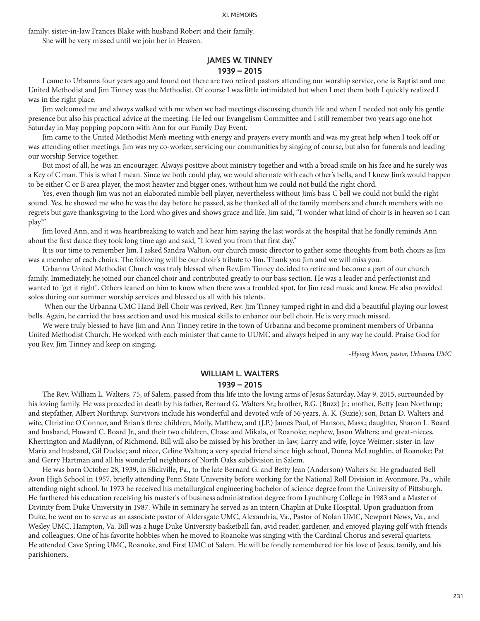family; sister-in-law Frances Blake with husband Robert and their family.

She will be very missed until we join her in Heaven.

## **JAMES W. TINNEY 1939 – 2015**

I came to Urbanna four years ago and found out there are two retired pastors attending our worship service, one is Baptist and one United Methodist and Jim Tinney was the Methodist. Of course I was little intimidated but when I met them both I quickly realized I was in the right place.

Jim welcomed me and always walked with me when we had meetings discussing church life and when I needed not only his gentle presence but also his practical advice at the meeting. He led our Evangelism Committee and I still remember two years ago one hot Saturday in May popping popcorn with Ann for our Family Day Event.

Jim came to the United Methodist Men's meeting with energy and prayers every month and was my great help when I took off or was attending other meetings. Jim was my co-worker, servicing our communities by singing of course, but also for funerals and leading our worship Service together.

But most of all, he was an encourager. Always positive about ministry together and with a broad smile on his face and he surely was a Key of C man. This is what I mean. Since we both could play, we would alternate with each other's bells, and I knew Jim's would happen to be either C or B area player, the most heavier and bigger ones, without him we could not build the right chord.

Yes, even though Jim was not an elaborated nimble bell player, nevertheless without Jim's bass C bell we could not build the right sound. Yes, he showed me who he was the day before he passed, as he thanked all of the family members and church members with no regrets but gave thanksgiving to the Lord who gives and shows grace and life. Jim said, "I wonder what kind of choir is in heaven so I can play!"

Jim loved Ann, and it was heartbreaking to watch and hear him saying the last words at the hospital that he fondly reminds Ann about the first dance they took long time ago and said, "I loved you from that first day."

It is our time to remember Jim. I asked Sandra Walton, our church music director to gather some thoughts from both choirs as Jim was a member of each choirs. The following will be our choir's tribute to Jim. Thank you Jim and we will miss you.

Urbanna United Methodist Church was truly blessed when Rev.Jim Tinney decided to retire and become a part of our church family. Immediately, he joined our chancel choir and contributed greatly to our bass section. He was a leader and perfectionist and wanted to "get it right". Others leaned on him to know when there was a troubled spot, for Jim read music and knew. He also provided solos during our summer worship services and blessed us all with his talents.

 When our the Urbanna UMC Hand Bell Choir was revived, Rev. Jim Tinney jumped right in and did a beautiful playing our lowest bells. Again, he carried the bass section and used his musical skills to enhance our bell choir. He is very much missed.

We were truly blessed to have Jim and Ann Tinney retire in the town of Urbanna and become prominent members of Urbanna United Methodist Church. He worked with each minister that came to UUMC and always helped in any way he could. Praise God for you Rev. Jim Tinney and keep on singing.

*-Hyung Moon, pastor, Urbanna UMC*

## **WILLIAM L. WALTERS 1939 – 2015**

The Rev. William L. Walters, 75, of Salem, passed from this life into the loving arms of Jesus Saturday, May 9, 2015, surrounded by his loving family. He was preceded in death by his father, Bernard G. Walters Sr.; brother, B.G. (Buzz) Jr.; mother, Betty Jean Northrup; and stepfather, Albert Northrup. Survivors include his wonderful and devoted wife of 56 years, A. K. (Suzie); son, Brian D. Walters and wife, Christine O'Connor, and Brian's three children, Molly, Matthew, and (J.P.) James Paul, of Hanson, Mass.; daughter, Sharon L. Board and husband, Howard C. Board Jr., and their two children, Chase and Mikala, of Roanoke; nephew, Jason Walters; and great-nieces, Kherrington and Madilynn, of Richmond. Bill will also be missed by his brother-in-law, Larry and wife, Joyce Weimer; sister-in-law Maria and husband, Gil Dudsic; and niece, Celine Walton; a very special friend since high school, Donna McLaughlin, of Roanoke; Pat and Gerry Hartman and all his wonderful neighbors of North Oaks subdivision in Salem.

He was born October 28, 1939, in Slickville, Pa., to the late Bernard G. and Betty Jean (Anderson) Walters Sr. He graduated Bell Avon High School in 1957, briefly attending Penn State University before working for the National Roll Division in Avonmore, Pa., while attending night school. In 1973 he received his metallurgical engineering bachelor of science degree from the University of Pittsburgh. He furthered his education receiving his master's of business administration degree from Lynchburg College in 1983 and a Master of Divinity from Duke University in 1987. While in seminary he served as an intern Chaplin at Duke Hospital. Upon graduation from Duke, he went on to serve as an associate pastor of Aldersgate UMC, Alexandria, Va., Pastor of Nolan UMC, Newport News, Va., and Wesley UMC, Hampton, Va. Bill was a huge Duke University basketball fan, avid reader, gardener, and enjoyed playing golf with friends and colleagues. One of his favorite hobbies when he moved to Roanoke was singing with the Cardinal Chorus and several quartets. He attended Cave Spring UMC, Roanoke, and First UMC of Salem. He will be fondly remembered for his love of Jesus, family, and his parishioners.